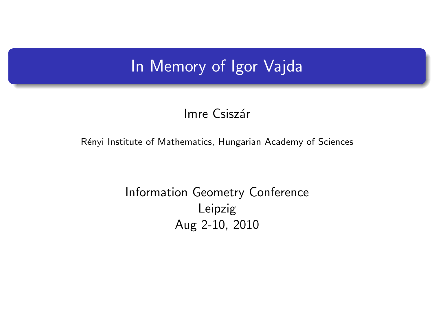## In Memory of Igor Vajda

#### Imre Csiszár

#### Rényi Institute of Mathematics, Hungarian Academy of Sciences

#### <span id="page-0-0"></span>Information Geometry Conference Leipzig Aug 2-10, 2010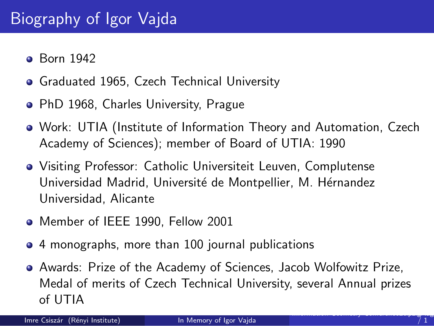- **•** Born 1942
- **Graduated 1965, Czech Technical University**
- PhD 1968, Charles University, Prague
- Work: UTIA (Institute of Information Theory and Automation, Czech Academy of Sciences); member of Board of UTIA: 1990
- Visiting Professor: Catholic Universiteit Leuven, Complutense Universidad Madrid, Université de Montpellier, M. Hérnandez Universidad, Alicante
- Member of IEEE 1990, Fellow 2001
- 4 monographs, more than 100 journal publications
- Awards: Prize of the Academy of Sciences, Jacob Wolfowitz Prize, Medal of merits of Czech Technical University, several Annual prizes of UTIA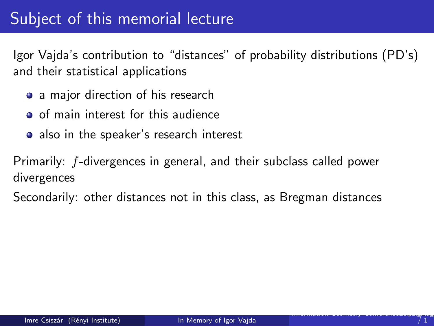## Subject of this memorial lecture

Igor Vajda's contribution to "distances" of probability distributions (PD's) and their statistical applications

- a major direction of his research
- o of main interest for this audience
- also in the speaker's research interest

Primarily: f-divergences in general, and their subclass called power divergences

Secondarily: other distances not in this class, as Bregman distances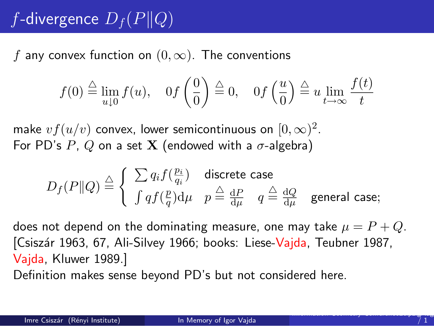# f-divergence  $D_f(P||Q)$

f any convex function on  $(0, \infty)$ . The conventions

$$
f(0) \stackrel{\triangle}{=} \lim_{u \downarrow 0} f(u), \quad 0f\left(\frac{0}{0}\right) \stackrel{\triangle}{=} 0, \quad 0f\left(\frac{u}{0}\right) \stackrel{\triangle}{=} u \lim_{t \to \infty} \frac{f(t)}{t}
$$

make  $vf(u/v)$  convex, lower semicontinuous on  $[0,\infty)^2$ . For PD's P, Q on a set **X** (endowed with a  $\sigma$ -algebra)

$$
D_f(P\|Q) \stackrel{\triangle}{=} \left\{ \begin{array}{cc} \sum q_i f(\frac{p_i}{q_i}) & \text{discrete case} \\ \int q f(\frac{p}{q}) \mathrm{d} \mu & p \stackrel{\triangle}{=} \frac{\mathrm{d}P}{\mathrm{d} \mu} & q \stackrel{\triangle}{=} \frac{\mathrm{d}Q}{\mathrm{d} \mu} & \text{general case}; \end{array} \right.
$$

does not depend on the dominating measure, one may take  $\mu = P + Q$ . [Csiszár 1963, 67, Ali-Silvey 1966; books: Liese-Vajda, Teubner 1987, Vajda, Kluwer 1989.]

Definition makes sense beyond PD's but not considered here.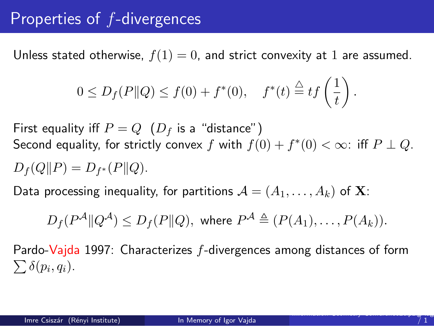## Properties of f-divergences

Unless stated otherwise,  $f(1) = 0$ , and strict convexity at 1 are assumed.

$$
0 \le D_f(P||Q) \le f(0) + f^*(0), \quad f^*(t) \stackrel{\triangle}{=} tf\left(\frac{1}{t}\right).
$$

First equality iff  $P = Q$   $(D<sub>f</sub>$  is a "distance") Second equality, for strictly convex  $f$  with  $f(0) + f^*(0) < \infty$ : iff  $P \perp Q$ .  $D_f(Q||P) = D_{f^*}(P||Q).$ 

Data processing inequality, for partitions  $\mathcal{A} = (A_1, \ldots, A_k)$  of **X**:

$$
D_f(P^{\mathcal{A}} \| Q^{\mathcal{A}}) \leq D_f(P \| Q), \text{ where } P^{\mathcal{A}} \triangleq (P(A_1), \ldots, P(A_k)).
$$

 $\sum \delta(p_i, q_i)$ . Pardo-Vajda 1997: Characterizes f-divergences among distances of form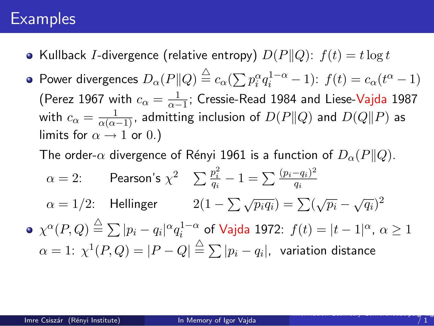#### **Examples**

- Kullback I-divergence (relative entropy)  $D(P||Q)$ :  $f(t) = t \log t$
- Power divergences  $D_{\alpha}(P||Q) \stackrel{\triangle}{=} c_{\alpha}(\sum p_i^{\alpha}q_i^{1-\alpha} 1)$ :  $f(t) = c_{\alpha}(t^{\alpha} 1)$ (Perez 1967 with  $c_{\alpha} = \frac{1}{\alpha - 1}$ ; Cressie-Read 1984 and Liese-Vajda 1987 with  $c_{\alpha} = \frac{1}{\alpha(\alpha-1)}$ , admitting inclusion of  $D(P\|Q)$  and  $D(Q\|P)$  as limits for  $\alpha \rightarrow 1$  or 0.)
	- The order- $\alpha$  divergence of Rényi 1961 is a function of  $D_{\alpha}(P||Q)$ .

$$
\alpha = 2: \qquad \text{Pearson's } \chi^2 \qquad \sum \frac{p_i^2}{q_i} - 1 = \sum \frac{(p_i - q_i)^2}{q_i}
$$
\n
$$
\alpha = 1/2: \qquad \text{Hellinger} \qquad 2(1 - \sum \sqrt{p_i q_i}) = \sum (\sqrt{p_i} - \sqrt{q_i})^2
$$
\n
$$
\text{• } \chi^{\alpha}(P, Q) \stackrel{\triangle}{=} \sum |p_i - q_i|^{\alpha} q_i^{1-\alpha} \text{ of Vajda 1972: } f(t) = |t - 1|^{\alpha}, \ \alpha \ge 1
$$
\n
$$
\alpha = 1: \ \chi^1(P, Q) = |P - Q| \stackrel{\triangle}{=} \sum |p_i - q_i|, \ \text{variation distance}
$$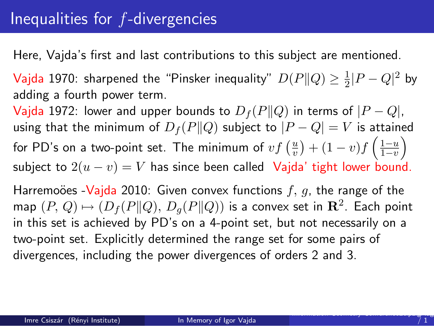Here, Vajda's first and last contributions to this subject are mentioned.

**V**ajda 1970: sharpened the "Pinsker inequality"  $D(P||Q) \geq \frac{1}{2}$  $\frac{1}{2}|P-Q|^2$  by adding a fourth power term.

Vajda 1972: lower and upper bounds to  $D_f(P||Q)$  in terms of  $|P - Q|$ , using that the minimum of  $D_f(P||Q)$  subject to  $|P - Q| = V$  is attained for PD's on a two-point set. The minimum of  $vf\left(\frac{u}{v}\right)$  $\frac{u}{v}$ ) +  $(1-v)f\left(\frac{1-u}{1-v}\right)$  $rac{1-u}{1-v}$ subject to  $2(u - v) = V$  has since been called Vajda' tight lower bound.

Harremoöes -Vajda 2010: Given convex functions  $f, g$ , the range of the map  $(P, Q) \mapsto (D_f(P \| Q), D_g(P \| Q))$  is a convex set in  $\mathbb{R}^2$ . Each point in this set is achieved by PD's on a 4-point set, but not necessarily on a two-point set. Explicitly determined the range set for some pairs of divergences, including the power divergences of orders 2 and 3.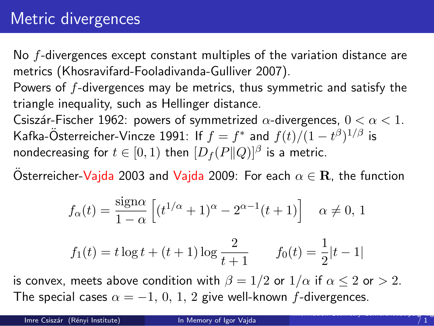## Metric divergences

No f-divergences except constant multiples of the variation distance are metrics (Khosravifard-Fooladivanda-Gulliver 2007).

Powers of f-divergences may be metrics, thus symmetric and satisfy the triangle inequality, such as Hellinger distance.

Csiszár-Fischer 1962: powers of symmetrized  $\alpha$ -divergences,  $0 < \alpha < 1$ . Kafka-Österreicher-Vincze 1991: If  $f = f^*$  and  $f(t)/(1-t^{\beta})^{1/\beta}$  is nondecreasing for  $t \in [0,1)$  then  $[D_f(P\|Q)]^{\beta}$  is a metric.

Osterreicher-Vajda 2003 and Vajda 2009: For each  $\alpha \in \mathbf{R}$ , the function

$$
f_{\alpha}(t) = \frac{\text{sign}\alpha}{1-\alpha} \left[ (t^{1/\alpha} + 1)^{\alpha} - 2^{\alpha - 1}(t+1) \right] \quad \alpha \neq 0, 1
$$

$$
f_1(t) = t \log t + (t+1) \log \frac{2}{t+1}
$$
  $f_0(t) = \frac{1}{2}|t-1|$ 

is convex, meets above condition with  $\beta = 1/2$  or  $1/\alpha$  if  $\alpha \le 2$  or  $> 2$ . The special cases  $\alpha = -1, 0, 1, 2$  give well-known f-divergences.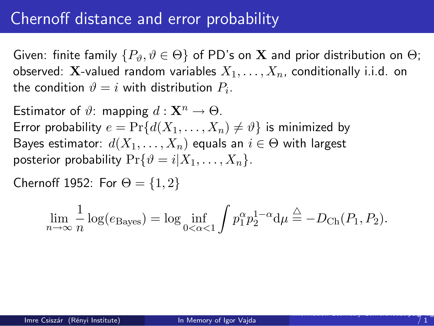## Chernoff distance and error probability

Given: finite family  $\{P_{\vartheta}, \vartheta \in \Theta\}$  of PD's on **X** and prior distribution on  $\Theta$ ; observed: **X**-valued random variables  $X_1, \ldots, X_n$ , conditionally i.i.d. on the condition  $\vartheta = i$  with distribution  $P_i.$ 

Estimator of  $\vartheta$ : mapping  $d: \mathbf{X}^n \to \Theta$ . Error probability  $e = Pr{d(X_1, ..., X_n) \neq \vartheta}$  is minimized by Bayes estimator:  $d(X_1, \ldots, X_n)$  equals an  $i \in \Theta$  with largest posterior probability  $Pr{\lbrace \vartheta = i | X_1, ..., X_n \rbrace}$ .

Chernoff 1952: For  $\Theta = \{1, 2\}$ 

$$
\lim_{n \to \infty} \frac{1}{n} \log(e_{\text{Bayes}}) = \log \inf_{0 < \alpha < 1} \int p_1^{\alpha} p_2^{1-\alpha} \, \mathrm{d}\mu \stackrel{\triangle}{=} -D_{\text{Ch}}(P_1, P_2).
$$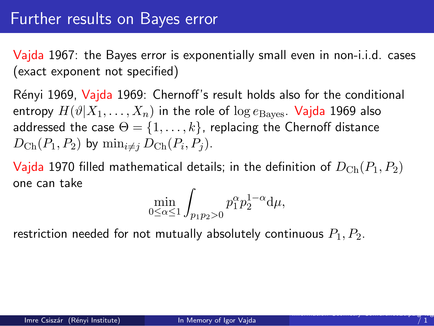#### Further results on Bayes error

Vajda 1967: the Bayes error is exponentially small even in non-i.i.d. cases (exact exponent not specified)

Rényi 1969, Vajda 1969: Chernoff's result holds also for the conditional entropy  $H(\vartheta|X_1,\ldots,X_n)$  in the role of  $\log e_{\text{Bayes}}$ . Vajda 1969 also addressed the case  $\Theta = \{1, \ldots, k\}$ , replacing the Chernoff distance  $D_{\rm Ch}(P_1,P_2)$  by  $\min_{i\neq j} D_{\rm Ch}(P_i,P_j)$ .

Vajda 1970 filled mathematical details; in the definition of  $D_{\text{Ch}}(P_1, P_2)$ one can take

$$
\min_{0\leq\alpha\leq 1}\int_{p_1p_2>0}p_1^{\alpha}p_2^{1-\alpha}{\rm d}\mu,
$$

restriction needed for not mutually absolutely continuous  $P_1, P_2$ .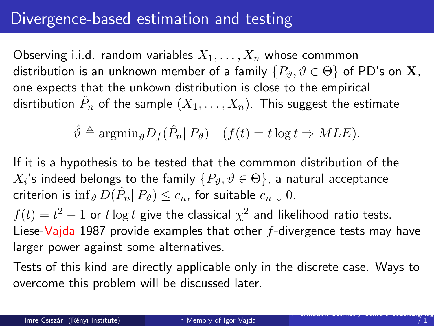### Divergence-based estimation and testing

Observing i.i.d. random variables  $X_1, \ldots, X_n$  whose commmon distribution is an unknown member of a family  $\{P_{\vartheta}, \vartheta \in \Theta\}$  of PD's on **X**, one expects that the unkown distribution is close to the empirical disrtibution  $\hat{P}_n$  of the sample  $(X_1,\ldots,X_n)$ . This suggest the estimate

$$
\hat{\vartheta} \triangleq \operatorname{argmin}_{\vartheta} D_f(\hat{P}_n \| P_{\vartheta}) \quad (f(t) = t \log t \Rightarrow MLE).
$$

If it is a hypothesis to be tested that the commmon distribution of the  $X_i$ 's indeed belongs to the family  $\{P_\vartheta,\vartheta\in\Theta\}$ , a natural acceptance criterion is  $\inf_{\vartheta} D(\hat{P}_n || P_{\vartheta}) \leq c_n$ , for suitable  $c_n \downarrow 0$ .

 $f(t) = t^2 - 1$  or  $t \log t$  give the classical  $\chi^2$  and likelihood ratio tests. Liese-Vajda 1987 provide examples that other f-divergence tests may have larger power against some alternatives.

Tests of this kind are directly applicable only in the discrete case. Ways to overcome this problem will be discussed later.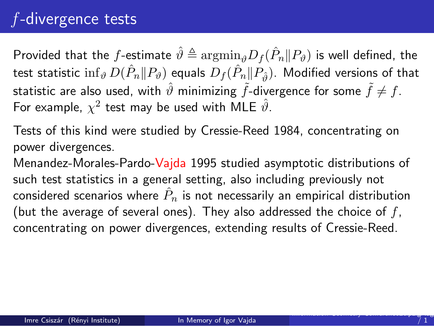# f-divergence tests

Provided that the  $f$ -estimate  $\hat{\vartheta} \triangleq \mathrm{argmin}_{\hat{\vartheta}} D_f(\hat{P}_n \| P_{\vartheta})$  is well defined, the test statistic  $\inf_{\vartheta}D(\hat{P}_n\|P_\vartheta)$  equals  $D_f(\hat{P}_n\|P_{\hat{\vartheta}}).$  Modified versions of that statistic are also used, with  $\hat{\vartheta}$  minimizing  $\tilde{f}$ -divergence for some  $\tilde{f} \neq f$ . For example,  $\chi^2$  test may be used with MLE  $\hat{\vartheta}.$ 

Tests of this kind were studied by Cressie-Reed 1984, concentrating on power divergences.

Menandez-Morales-Pardo-Vajda 1995 studied asymptotic distributions of such test statistics in a general setting, also including previously not considered scenarios where  $\hat{P}_n$  is not necessarily an empirical distribution (but the average of several ones). They also addressed the choice of  $f$ , concentrating on power divergences, extending results of Cressie-Reed.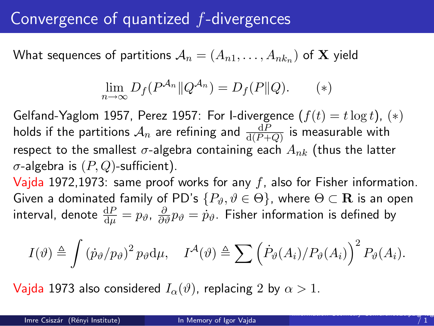## Convergence of quantized f-divergences

What sequences of partitions  $\mathcal{A}_n = (A_{n1}, \ldots, A_{nk_n})$  of  $\mathbf X$  yield

$$
\lim_{n \to \infty} D_f(P^{\mathcal{A}_n} \| Q^{\mathcal{A}_n}) = D_f(P \| Q). \qquad (*)
$$

Gelfand-Yaglom 1957, Perez 1957: For I-divergence  $(f(t) = t \log t)$ ,  $(*)$ holds if the partitions  $\mathcal{A}_n$  are refining and  $\frac{\text{d}P}{\text{d}(P+Q)}$  is measurable with respect to the smallest  $\sigma$ -algebra containing each  $A_{nk}$  (thus the latter  $\sigma$ -algebra is  $(P, Q)$ -sufficient).

Vajda 1972,1973: same proof works for any  $f$ , also for Fisher information. Given a dominated family of PD's  $\{P_{\vartheta}, \vartheta \in \Theta\}$ , where  $\Theta \subset \mathbf{R}$  is an open interval, denote  $\frac{\text{d}P}{\text{d}\mu}=p_\vartheta$ ,  $\frac{\partial}{\partial \vartheta}p_\vartheta=\dot{p}_\vartheta.$  Fisher information is defined by

$$
I(\vartheta) \triangleq \int (\dot{p}_{\vartheta}/p_{\vartheta})^2 p_{\vartheta} d\mu, \quad I^{\mathcal{A}}(\vartheta) \triangleq \sum (\dot{P}_{\vartheta}(A_i)/P_{\vartheta}(A_i))^{2} P_{\vartheta}(A_i).
$$

Vajda 1973 also considered  $I_{\alpha}(\vartheta)$ , replacing 2 by  $\alpha > 1$ .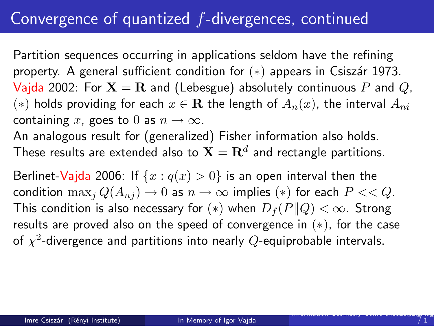## Convergence of quantized f-divergences, continued

Partition sequences occurring in applications seldom have the refining property. A general sufficient condition for  $(*)$  appears in Csiszár 1973. Vajda 2002: For  $X = R$  and (Lebesgue) absolutely continuous P and Q, (\*) holds providing for each  $x \in \mathbf{R}$  the length of  $A_n(x)$ , the interval  $A_{ni}$ containing x, goes to 0 as  $n \to \infty$ .

An analogous result for (generalized) Fisher information also holds. These results are extended also to  $\mathbf{X}=\mathbf{R}^d$  and rectangle partitions.

Berlinet-Vajda 2006: If  $\{x : q(x) > 0\}$  is an open interval then the condition  $\max_i Q(A_{ni}) \to 0$  as  $n \to \infty$  implies (\*) for each  $P \ll Q$ . This condition is also necessary for  $(*)$  when  $D_f(P||Q) < \infty$ . Strong results are proved also on the speed of convergence in  $(*)$ , for the case of  $\chi^2$ -divergence and partitions into nearly  $Q$ -equiprobable intervals.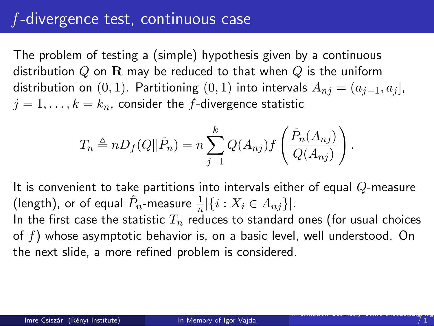## f-divergence test, continuous case

The problem of testing a (simple) hypothesis given by a continuous distribution Q on R may be reduced to that when Q is the uniform distribution on  $(0, 1)$ . Partitioning  $(0, 1)$  into intervals  $A_{ni} = (a_{i-1}, a_i]$ ,  $j = 1, \ldots, k = k_n$ , consider the f-divergence statistic

$$
T_n \triangleq nD_f(Q||\hat{P}_n) = n \sum_{j=1}^k Q(A_{nj}) f\left(\frac{\hat{P}_n(A_{nj})}{Q(A_{nj})}\right)
$$

It is convenient to take partitions into intervals either of equal  $Q$ -measure (length), or of equal  $\hat{P}_n$ -measure  $\frac{1}{n}|\{i : X_i \in A_{nj}\}|$ .

In the first case the statistic  $T_n$  reduces to standard ones (for usual choices of f) whose asymptotic behavior is, on a basic level, well understood. On the next slide, a more refined problem is considered.

.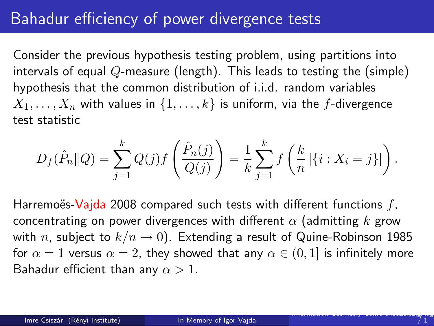## Bahadur efficiency of power divergence tests

Consider the previous hypothesis testing problem, using partitions into intervals of equal  $Q$ -measure (length). This leads to testing the (simple) hypothesis that the common distribution of i.i.d. random variables  $X_1, \ldots, X_n$  with values in  $\{1, \ldots, k\}$  is uniform, via the f-divergence test statistic

$$
D_f(\hat{P}_n||Q) = \sum_{j=1}^k Q(j)f\left(\frac{\hat{P}_n(j)}{Q(j)}\right) = \frac{1}{k} \sum_{j=1}^k f\left(\frac{k}{n} | \{i : X_i = j\} | \right).
$$

Harremoës-Vajda 2008 compared such tests with different functions  $f<sub>i</sub>$ concentrating on power divergences with different  $\alpha$  (admitting k grow with n, subject to  $k/n \rightarrow 0$ ). Extending a result of Quine-Robinson 1985 for  $\alpha = 1$  versus  $\alpha = 2$ , they showed that any  $\alpha \in (0, 1]$  is infinitely more Bahadur efficient than any  $\alpha > 1$ .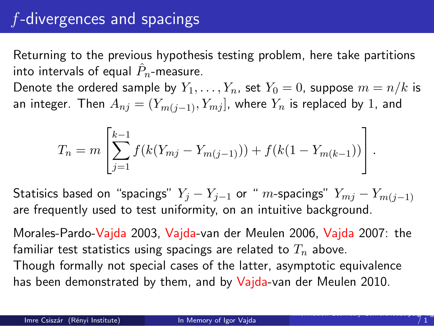# f-divergences and spacings

Returning to the previous hypothesis testing problem, here take partitions into intervals of equal  $\hat{P}_n$ -measure.

Denote the ordered sample by  $Y_1, \ldots, Y_n$ , set  $Y_0 = 0$ , suppose  $m = n/k$  is an integer. Then  $A_{nj} = (Y_{m(j-1)}, Y_{mj})$ , where  $Y_n$  is replaced by 1, and

$$
T_n = m \left[ \sum_{j=1}^{k-1} f(k(Y_{mj} - Y_{m(j-1)})) + f(k(1 - Y_{m(k-1})) \right].
$$

Statisics based on "spacings"  $Y_j - Y_{j-1}$  or " m-spacings"  $Y_{mj} - Y_{m(j-1)}$ are frequently used to test uniformity, on an intuitive background.

Morales-Pardo-Vajda 2003, Vajda-van der Meulen 2006, Vajda 2007: the familiar test statistics using spacings are related to  $T_n$  above. Though formally not special cases of the latter, asymptotic equivalence has been demonstrated by them, and by Vajda-van der Meulen 2010.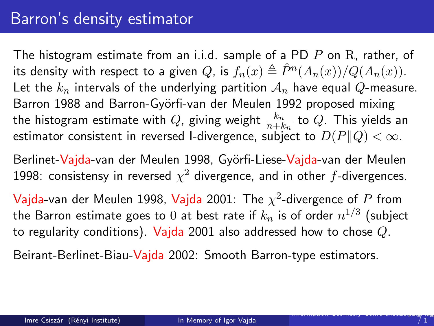## Barron's density estimator

The histogram estimate from an i.i.d. sample of a PD  $P$  on  $R$ , rather, of its density with respect to a given  $Q$ , is  $f_n(x) \triangleq \hat{P}^n(A_n(x))/Q(A_n(x)).$ Let the  $k_n$  intervals of the underlying partition  $A_n$  have equal Q-measure. Barron 1988 and Barron-Györfi-van der Meulen 1992 proposed mixing the histogram estimate with  $Q$ , giving weight  $\frac{k_n}{n+k_n}$  to  $Q$ . This yields an estimator consistent in reversed I-divergence, subject to  $D(P||Q) < \infty$ .

Berlinet-Vajda-van der Meulen 1998, Györfi-Liese-Vajda-van der Meulen 1998: consistensy in reversed  $\chi^2$  divergence, and in other  $f$ -divergences.

 $\mathsf{V}$ ajda-van der Meulen 1998,  $\mathsf{V}$ ajda 2001: The  $\chi^2$ -divergence of  $P$  from the Barron estimate goes to  $0$  at best rate if  $k_n$  is of order  $n^{1/3}$  (subject to regularity conditions). Vajda 2001 also addressed how to chose  $Q$ .

Beirant-Berlinet-Biau-Vajda 2002: Smooth Barron-type estimators.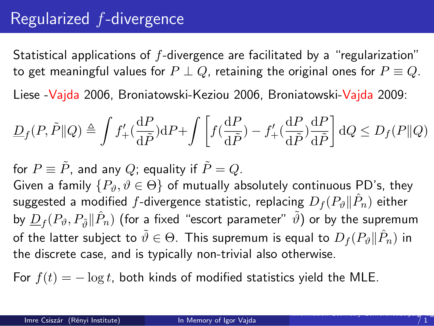## Regularized f-divergence

Statistical applications of f-divergence are facilitated by a "regularization" to get meaningful values for  $P \perp Q$ , retaining the original ones for  $P \equiv Q$ . Liese -Vajda 2006, Broniatowski-Keziou 2006, Broniatowski-Vajda 2009:

$$
\underline{D}_f(P,\tilde{P}||Q) \triangleq \int f'_+(\frac{\mathrm{d}P}{\mathrm{d}\tilde{P}})\mathrm{d}P + \int \left[ f(\frac{\mathrm{d}P}{\mathrm{d}\tilde{P}}) - f'_+(\frac{\mathrm{d}P}{\mathrm{d}\tilde{P}})\frac{\mathrm{d}P}{\mathrm{d}\tilde{P}} \right] \mathrm{d}Q \le D_f(P||Q)
$$

for  $P \equiv \tilde{P}$ , and any Q; equality if  $\tilde{P} = Q$ .

Given a family  $\{P_{\vartheta}, \vartheta \in \Theta\}$  of mutually absolutely continuous PD's, they suggested a modified  $f$ -divergence statistic, replacing  $D_f(P_\vartheta\|\hat{P}_n)$  either by  $\underline{D}_f(P_\vartheta,P_{\tilde{\vartheta}}\|\hat{P}_n)$  (for a fixed "escort parameter"  $\tilde{\vartheta})$  or by the supremum of the latter subject to  $\tilde{\vartheta}\in\Theta.$  This supremum is equal to  $D_f(P_\vartheta\|\hat{P}_n)$  in the discrete case, and is typically non-trivial also otherwise.

For  $f(t) = -\log t$ , both kinds of modified statistics yield the MLE.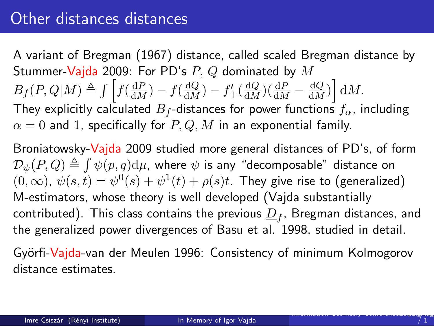## Other distances distances

A variant of Bregman (1967) distance, called scaled Bregman distance by Stummer-Vajda 2009: For PD's  $P$ ,  $Q$  dominated by  $M$  $B_f(P,Q|M) \triangleq \int \left[ f(\frac{dP}{dM}) - f(\frac{dQ}{dM}) - f'_{+}(\frac{dQ}{dM})(\frac{dP}{dM} - \frac{dQ}{dM}) \right] dM.$ They explicitly calculated  $B_f$ -distances for power functions  $f_\alpha$ , including  $\alpha = 0$  and 1, specifically for P, Q, M in an exponential family.

Broniatowsky-Vajda 2009 studied more general distances of PD's, of form  $\mathcal{D}_{\psi}(P,Q) \triangleq \int \psi(p,q) \mathrm{d}\mu$ , where  $\psi$  is any "decomposable" distance on  $(0, \infty)$ ,  $\psi(s,t) = \psi^0(s) + \psi^1(t) + \rho(s)t$ . They give rise to (generalized) M-estimators, whose theory is well developed (Vajda substantially contributed). This class contains the previous  $\underline{D}_f$ , Bregman distances, and the generalized power divergences of Basu et al. 1998, studied in detail.

Györfi-Vajda-van der Meulen 1996: Consistency of minimum Kolmogorov distance estimates.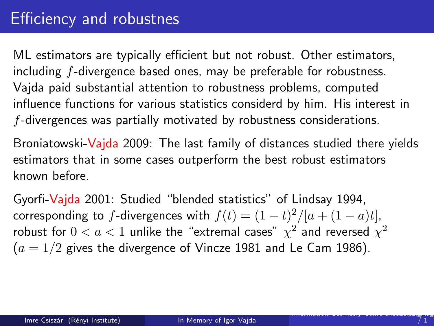ML estimators are typically efficient but not robust. Other estimators, including f-divergence based ones, may be preferable for robustness. Vajda paid substantial attention to robustness problems, computed influence functions for various statistics considerd by him. His interest in f-divergences was partially motivated by robustness considerations.

Broniatowski-Vajda 2009: The last family of distances studied there yields estimators that in some cases outperform the best robust estimators known before.

Gyorfi-Vajda 2001: Studied "blended statistics" of Lindsay 1994, corresponding to f-divergences with  $f(t) = (1-t)^2/[a + (1-a)t]$ , robust for  $0 < a < 1$  unlike the "extremal cases"  $\chi^2$  and reversed  $\chi^2$  $(a = 1/2)$  gives the divergence of Vincze 1981 and Le Cam 1986).